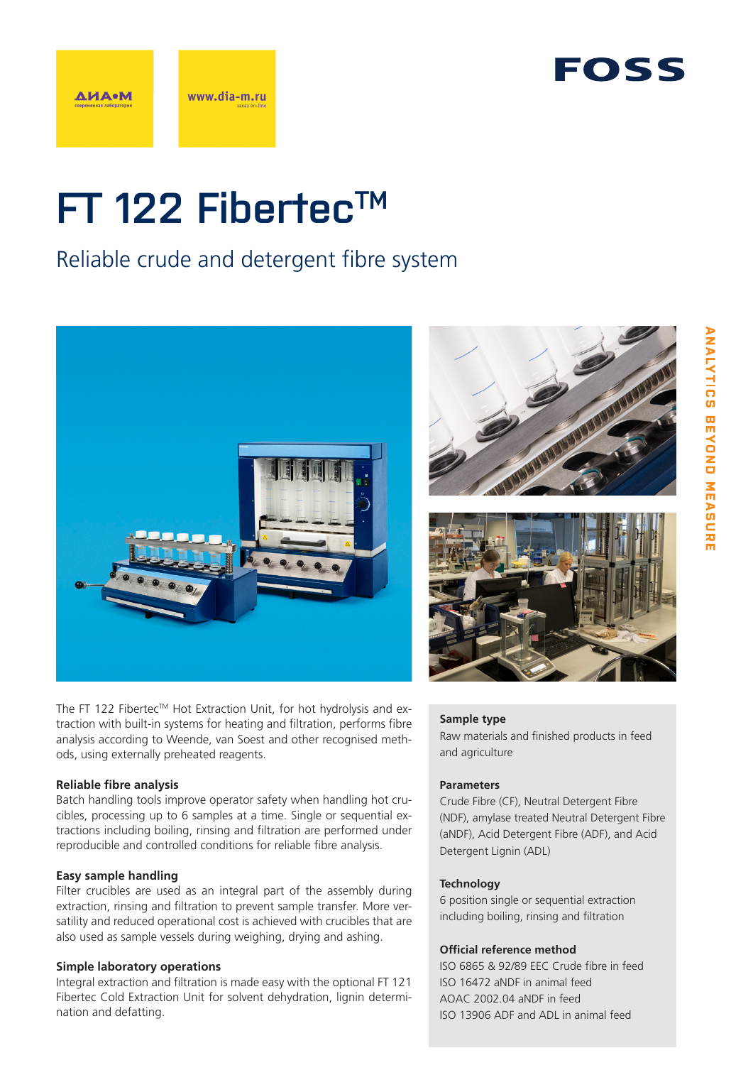



# **FT 122 FibertecTM**

### Reliable crude and detergent fibre system



The FT 122 Fibertec™ Hot Extraction Unit, for hot hydrolysis and extraction with built-in systems for heating and filtration, performs fibre analysis according to Weende, van Soest and other recognised methods, using externally preheated reagents.

#### **Reliable fibre analysis**

Batch handling tools improve operator safety when handling hot crucibles, processing up to 6 samples at a time. Single or sequential extractions including boiling, rinsing and filtration are performed under reproducible and controlled conditions for reliable fibre analysis.

#### **Easy sample handling**

Filter crucibles are used as an integral part of the assembly during extraction, rinsing and filtration to prevent sample transfer. More versatility and reduced operational cost is achieved with crucibles that are also used as sample vessels during weighing, drying and ashing.

#### **Simple laboratory operations**

Integral extraction and filtration is made easy with the optional FT 121 Fibertec Cold Extraction Unit for solvent dehydration, lignin determination and defatting.





#### **Sample type**

Raw materials and finished products in feed and agriculture

#### **Parameters**

Crude Fibre (CF), Neutral Detergent Fibre (NDF), amylase treated Neutral Detergent Fibre (aNDF), Acid Detergent Fibre (ADF), and Acid Detergent Lignin (ADL)

#### **Technology**

6 position single or sequential extraction including boiling, rinsing and filtration

#### **Official reference method**

ISO 6865 & 92/89 EEC Crude fibre in feed ISO 16472 aNDF in animal feed AOAC 2002.04 aNDF in feed ISO 13906 ADF and ADL in animal feed